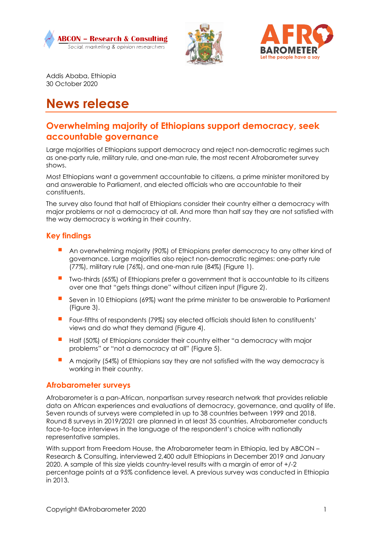





Addis Ababa, Ethiopia 30 October 2020

# **News release**

# **Overwhelming majority of Ethiopians support democracy, seek accountable governance**

Large majorities of Ethiopians support democracy and reject non-democratic regimes such as one-party rule, military rule, and one-man rule, the most recent Afrobarometer survey shows.

Most Ethiopians want a government accountable to citizens, a prime minister monitored by and answerable to Parliament, and elected officials who are accountable to their constituents.

The survey also found that half of Ethiopians consider their country either a democracy with major problems or not a democracy at all. And more than half say they are not satisfied with the way democracy is working in their country.

### **Key findings**

- An overwhelming majority (90%) of Ethiopians prefer democracy to any other kind of governance. Large majorities also reject non-democratic regimes: one-party rule (77%), military rule (76%), and one-man rule (84%) (Figure 1).
- Two-thirds (65%) of Ethiopians prefer a government that is accountable to its citizens over one that "gets things done" without citizen input (Figure 2).
- Seven in 10 Ethiopians (69%) want the prime minister to be answerable to Parliament (Figure 3).
- Four-fifths of respondents (79%) say elected officials should listen to constituents' views and do what they demand (Figure 4).
- **Half (50%) of Ethiopians consider their country either "a democracy with major** problems" or "not a democracy at all" (Figure 5).
- A majority (54%) of Ethiopians say they are not satisfied with the way democracy is working in their country.

#### **Afrobarometer surveys**

Afrobarometer is a pan-African, nonpartisan survey research network that provides reliable data on African experiences and evaluations of democracy, governance, and quality of life. Seven rounds of surveys were completed in up to 38 countries between 1999 and 2018. Round 8 surveys in 2019/2021 are planned in at least 35 countries. Afrobarometer conducts face-to-face interviews in the language of the respondent's choice with nationally representative samples.

With support from Freedom House, the Afrobarometer team in Ethiopia, led by ABCON -Research & Consulting, interviewed 2,400 adult Ethiopians in December 2019 and January 2020. A sample of this size yields country-level results with a margin of error of +/-2 percentage points at a 95% confidence level. A previous survey was conducted in Ethiopia in 2013.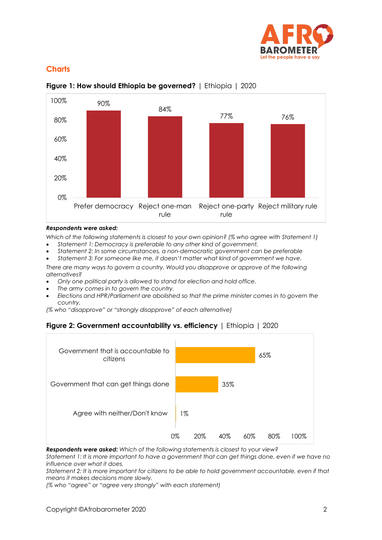

## **Charts**



## **Figure 1: How should Ethiopia be governed?** | Ethiopia | 2020

#### *Respondents were asked:*

*Which of the following statements is closest to your own opinion? (% who agree with Statement 1)* • *Statement 1: Democracy is preferable to any other kind of government.* 

- *Statement 2: In some circumstances, a non-democratic government can be preferable*
- *Statement 3: For someone like me, it doesn't matter what kind of government we have.*

*There are many ways to govern a country. Would you disapprove or approve of the following alternatives?* 

- *Only one political party is allowed to stand for election and hold office.*
- *The army comes in to govern the country.*
- *Elections and HPR/Parliament are abolished so that the prime minister comes in to govern the country.*

*(% who "disapprove" or "strongly disapprove" of each alternative)*





*Respondents were asked: Which of the following statements is closest to your view?*

*Statement 1: It is more important to have a government that can get things done, even if we have no influence over what it does.* 

*Statement 2: It is more important for citizens to be able to hold government accountable, even if that means it makes decisions more slowly.*

*(% who "agree" or "agree very strongly" with each statement)*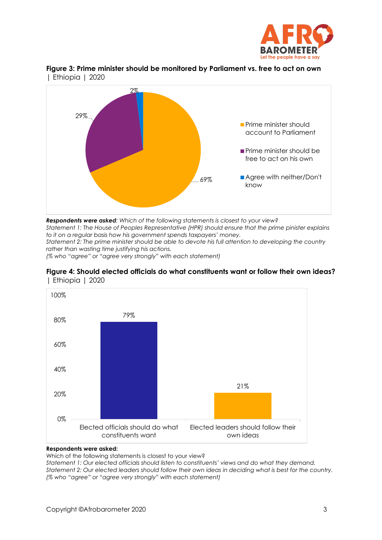





*Respondents were asked: Which of the following statements is closest to your view? Statement 1: The House of Peoples Representative (HPR) should ensure that the prime pinister explains to it on a regular basis how his government spends taxpayers' money. Statement 2: The prime minister should be able to devote his full attention to developing the country rather than wasting time justifying his actions.*

*(% who "agree" or "agree very strongly" with each statement)*





#### **Respondents were asked:**

Which of the following statements is closest to your view?

*Statement 1: Our elected officials should listen to constituents' views and do what they demand. Statement 2: Our elected leaders should follow their own ideas in deciding what is best for the country. (% who "agree" or "agree very strongly" with each statement)*